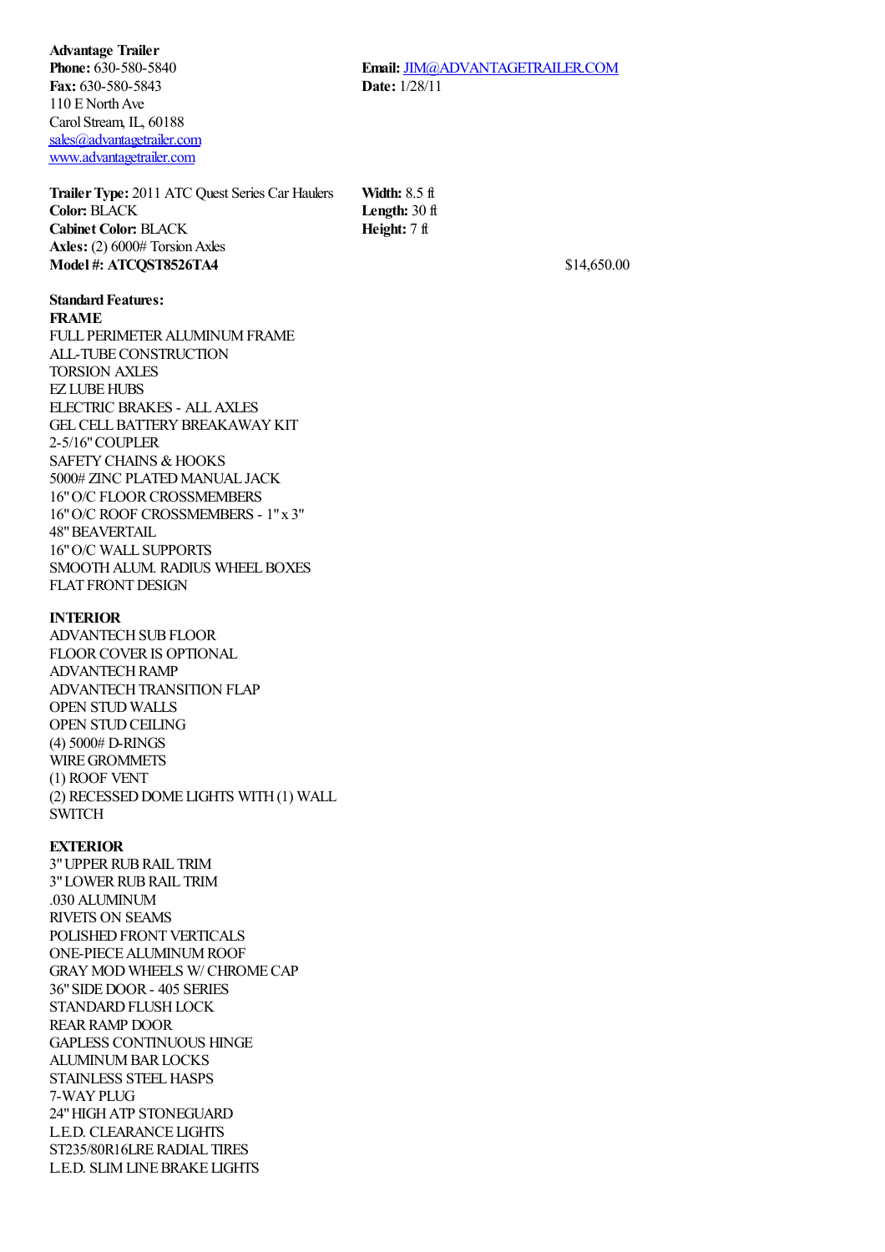**Advantage Trailer Phone:** 630-580-5840 **Fax:** 630-580-5843 110 E North Ave Carol Stream, IL, 60188 [sales@advantagetrailer.com](mailto:sales@advantagetrailer.com) [www.advantagetrailer.com](http://www.advantagetrailer.com/)

**TrailerType:** 2011 ATC Quest Series Car Haulers **Color:** BLACK **Cabinet Color:** BLACK **Axles:** (2) 6000# Torsion Axles **Width:** 8.5 ft **Length:** 30 ft **Height:** 7 ft **Model #: ATCQST8526TA4** \$14,650.00

## **Standard Features:**

## **FRAME**

FULL PERIMETER ALUMINUM FRAME ALL-TUBECONSTRUCTION TORSION AXLES **EZ LUBE HUBS** ELECTRIC BRAKES - ALLAXLES GEL CELL BATTERY BREAKAWAY KIT 2-5/16"COUPLER SAFETY CHAINS & HOOKS 5000# ZINC PLATED MANUAL JACK 16" O/C FLOOR CROSSMEMBERS 16"O/C ROOF CROSSMEMBERS - 1"x 3" 48"BEAVERTAIL 16"O/C WALL SUPPORTS SMOOTH ALUM. RADIUS WHEEL BOXES FLAT FRONT DESIGN

## **INTERIOR**

ADVANTECH SUB FLOOR FLOORCOVERIS OPTIONAL ADVANTECHRAMP ADVANTECH TRANSITION FLAP OPEN STUD WALLS OPEN STUD CEILING (4) 5000# D-RINGS WIRE GROMMETS (1) ROOF VENT (2) RECESSED DOME LIGHTS WITH(1) WALL SWITCH

## **EXTERIOR**

3"UPPERRUBRAIL TRIM 3" LOWER RUB RAIL TRIM .030 ALUMINUM RIVETS ON SEAMS POLISHED FRONT VERTICALS ONE-PIECEALUMINUMROOF GRAYMOD WHEELS W/ CHROMECAP 36"SIDEDOOR- 405 SERIES STANDARD FLUSH LOCK REAR RAMP DOOR GAPLESS CONTINUOUS HINGE **ALUMINUM BAR LOCKS** STAINLESS STEEL HASPS 7-WAYPLUG 24"HIGHATP STONEGUARD L.E.D. CLEARANCE LIGHTS ST235/80R16LRERADIAL TIRES L.E.D. SLIM LINE BRAKE LIGHTS

**Email:** [JIM@ADVANTAGETRAILER.COM](mailto:JIM@ADVANTAGETRAILER.COM) **Date:** 1/28/11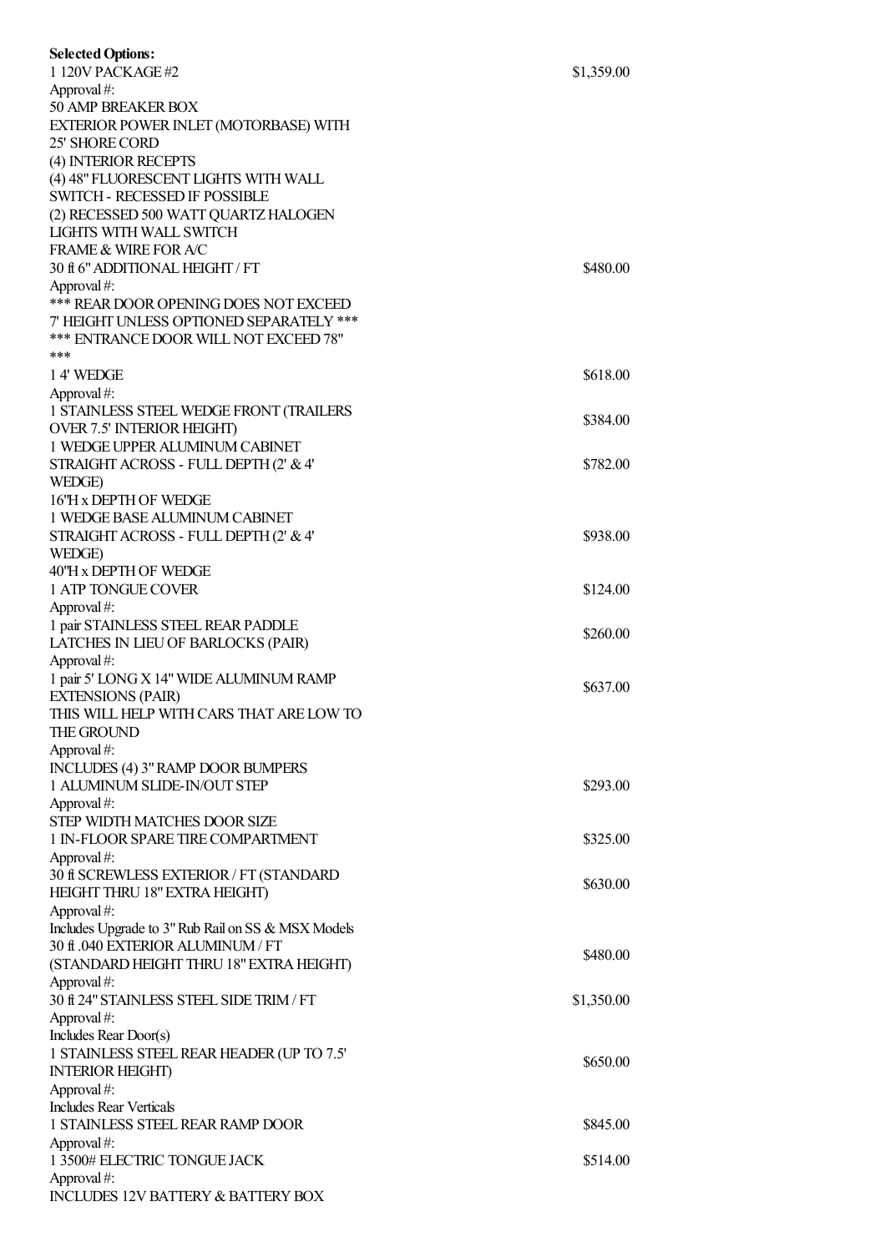| <b>Selected Options:</b>                                                 |            |
|--------------------------------------------------------------------------|------------|
| 1 120V PACKAGE #2<br>Approval#:                                          | \$1,359.00 |
| 50 AMP BREAKER BOX                                                       |            |
| EXTERIOR POWER INLET (MOTORBASE) WITH                                    |            |
| 25' SHORE CORD                                                           |            |
| (4) INTERIOR RECEPTS                                                     |            |
| (4) 48" FLUORESCENT LIGHTS WITH WALL                                     |            |
| <b>SWITCH - RECESSED IF POSSIBLE</b>                                     |            |
| (2) RECESSED 500 WATT QUARTZ HALOGEN                                     |            |
| LIGHTS WITH WALL SWITCH<br><b>FRAME &amp; WIRE FOR A/C</b>               |            |
| 30 ft 6" ADDITIONAL HEIGHT / FT                                          | \$480.00   |
| Approval#:                                                               |            |
| *** REAR DOOR OPENING DOES NOT EXCEED                                    |            |
| 7' HEIGHT UNLESS OPTIONED SEPARATELY ***                                 |            |
| *** ENTRANCE DOOR WILL NOT EXCEED 78"                                    |            |
| ***                                                                      |            |
| 14' WEDGE                                                                | \$618.00   |
| Approval#:                                                               |            |
| 1 STAINLESS STEEL WEDGE FRONT (TRAILERS                                  | \$384.00   |
| <b>OVER 7.5' INTERIOR HEIGHT)</b><br>1 WEDGE UPPER ALUMINUM CABINET      |            |
| STRAIGHT ACROSS - FULL DEPTH (2' & 4'                                    | \$782.00   |
| WEDGE)                                                                   |            |
| 16'H x DEPTH OF WEDGE                                                    |            |
| 1 WEDGE BASE ALUMINUM CABINET                                            |            |
| STRAIGHT ACROSS - FULL DEPTH (2' & 4'                                    | \$938.00   |
| WEDGE)                                                                   |            |
| 40'H x DEPTH OF WEDGE                                                    |            |
| 1 ATP TONGUE COVER                                                       | \$124.00   |
| Approval#:                                                               |            |
| 1 pair STAINLESS STEEL REAR PADDLE<br>LATCHES IN LIEU OF BARLOCKS (PAIR) | \$260.00   |
| Approval#:                                                               |            |
| 1 pair 5' LONG X 14" WIDE ALUMINUM RAMP                                  |            |
| <b>EXTENSIONS (PAIR)</b>                                                 | \$637.00   |
| THIS WILL HELP WITH CARS THAT ARE LOW TO                                 |            |
| THE GROUND                                                               |            |
| Approval#:                                                               |            |
| INCLUDES (4) 3" RAMP DOOR BUMPERS                                        |            |
| 1 ALUMINUM SLIDE-IN/OUT STEP                                             | \$293.00   |
| Approval#:<br>STEP WIDTH MATCHES DOOR SIZE                               |            |
| 1 IN-FLOOR SPARE TIRE COMPARTMENT                                        | \$325.00   |
| Approval#:                                                               |            |
| 30 ft SCREWLESS EXTERIOR / FT (STANDARD                                  |            |
| HEIGHT THRU 18" EXTRA HEIGHT)                                            | \$630.00   |
| Approval#:                                                               |            |
| Includes Upgrade to 3" Rub Rail on SS & MSX Models                       |            |
| 30 ft .040 EXTERIOR ALUMINUM / FT                                        | \$480.00   |
| (STANDARD HEIGHT THRU 18" EXTRA HEIGHT)                                  |            |
| Approval#:<br>30 ft 24" STAINLESS STEEL SIDE TRIM / FT                   | \$1,350.00 |
| Approval#:                                                               |            |
| Includes Rear Door(s)                                                    |            |
| 1 STAINLESS STEEL REAR HEADER (UP TO 7.5'                                |            |
| <b>INTERIOR HEIGHT</b>                                                   | \$650.00   |
| Approval#:                                                               |            |
| <b>Includes Rear Verticals</b>                                           |            |
| <b>1 STAINLESS STEEL REAR RAMP DOOR</b>                                  | \$845.00   |
| Approval#:                                                               |            |
| 1 3500# ELECTRIC TONGUE JACK<br>Approval#:                               | \$514.00   |
| INCLUDES 12V BATTERY & BATTERY BOX                                       |            |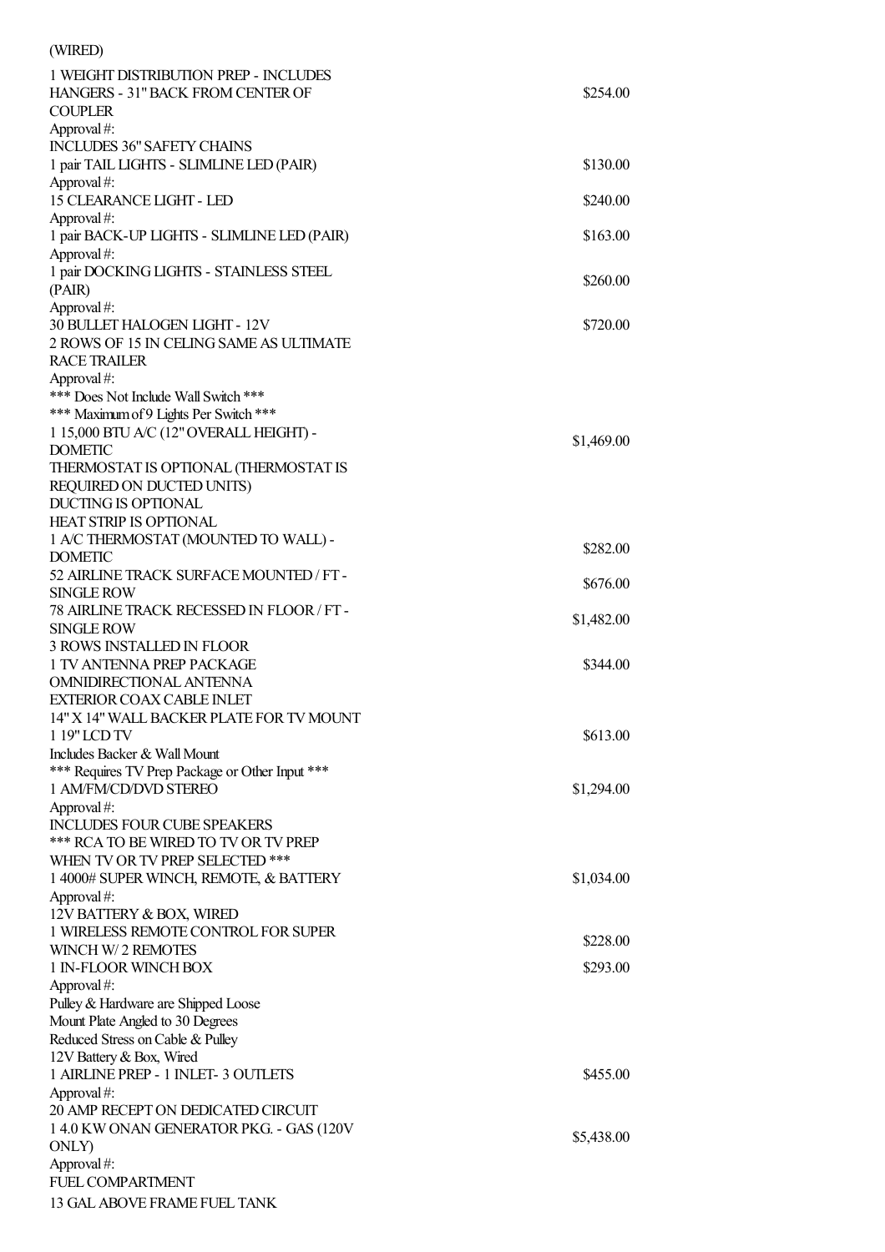| (WIRED)                                                                           |            |
|-----------------------------------------------------------------------------------|------------|
| 1 WEIGHT DISTRIBUTION PREP - INCLUDES                                             |            |
| HANGERS - 31" BACK FROM CENTER OF                                                 | \$254.00   |
| <b>COUPLER</b>                                                                    |            |
| Approval#:                                                                        |            |
| <b>INCLUDES 36" SAFETY CHAINS</b>                                                 |            |
| 1 pair TAIL LIGHTS - SLIMLINE LED (PAIR)                                          | \$130.00   |
| Approval#:                                                                        |            |
| <b>15 CLEARANCE LIGHT - LED</b>                                                   | \$240.00   |
| Approval#:                                                                        |            |
| 1 pair BACK-UP LIGHTS - SLIMLINE LED (PAIR)                                       | \$163.00   |
| Approval#:                                                                        |            |
| 1 pair DOCKING LIGHTS - STAINLESS STEEL                                           | \$260.00   |
| (PAIR)                                                                            |            |
| Approval#:                                                                        |            |
| 30 BULLET HALOGEN LIGHT - 12V                                                     | \$720.00   |
| 2 ROWS OF 15 IN CELING SAME AS ULTIMATE                                           |            |
| <b>RACE TRAILER</b>                                                               |            |
| Approval#:                                                                        |            |
| *** Does Not Include Wall Switch ***                                              |            |
| *** Maximum of 9 Lights Per Switch ***<br>1 15,000 BTU A/C (12" OVERALL HEIGHT) - |            |
| <b>DOMETIC</b>                                                                    | \$1,469.00 |
| THERMOSTAT IS OPTIONAL (THERMOSTAT IS                                             |            |
| REQUIRED ON DUCTED UNITS)                                                         |            |
| <b>DUCTING IS OPTIONAL</b>                                                        |            |
| <b>HEAT STRIP IS OPTIONAL</b>                                                     |            |
| 1 A/C THERMOSTAT (MOUNTED TO WALL) -                                              |            |
| <b>DOMETIC</b>                                                                    | \$282.00   |
| 52 AIRLINE TRACK SURFACE MOUNTED / FT -                                           |            |
| <b>SINGLE ROW</b>                                                                 | \$676.00   |
| 78 AIRLINE TRACK RECESSED IN FLOOR / FT-                                          |            |
| <b>SINGLE ROW</b>                                                                 | \$1,482.00 |
| <b>3 ROWS INSTALLED IN FLOOR</b>                                                  |            |
| 1 TV ANTENNA PREP PACKAGE                                                         | \$344.00   |
| OMNIDIRECTIONAL ANTENNA                                                           |            |
| <b>EXTERIOR COAX CABLE INLET</b>                                                  |            |
| 14" X 14" WALL BACKER PLATE FOR TV MOUNT                                          |            |
| 1 19" LCD TV                                                                      | \$613.00   |
| Includes Backer & Wall Mount                                                      |            |
| *** Requires TV Prep Package or Other Input ***                                   |            |
| 1 AM/FM/CD/DVD STEREO                                                             | \$1,294.00 |
| Approval#:                                                                        |            |
| <b>INCLUDES FOUR CUBE SPEAKERS</b>                                                |            |
| *** RCA TO BE WIRED TO TV OR TV PREP                                              |            |
| WHEN TV OR TV PREP SELECTED ***                                                   |            |
| 1 4000# SUPER WINCH, REMOTE, & BATTERY                                            | \$1,034.00 |
| Approval#:                                                                        |            |
| 12V BATTERY & BOX, WIRED                                                          |            |
| 1 WIRELESS REMOTE CONTROL FOR SUPER                                               | \$228.00   |
| WINCH W/2 REMOTES                                                                 |            |
| 1 IN-FLOOR WINCH BOX                                                              | \$293.00   |
| Approval#:                                                                        |            |
| Pulley & Hardware are Shipped Loose                                               |            |
| Mount Plate Angled to 30 Degrees                                                  |            |
| Reduced Stress on Cable & Pulley                                                  |            |
| 12V Battery & Box, Wired                                                          |            |
| 1 AIRLINE PREP - 1 INLET- 3 OUTLETS                                               | \$455.00   |
| Approval#:                                                                        |            |
| 20 AMP RECEPT ON DEDICATED CIRCUIT                                                |            |
| 1 4.0 KW ONAN GENERATOR PKG. - GAS (120V                                          | \$5,438.00 |
| ONLY)                                                                             |            |
| Approval#:<br>FUEL COMPARTMENT                                                    |            |
|                                                                                   |            |
| 13 GAL ABOVE FRAME FUEL TANK                                                      |            |